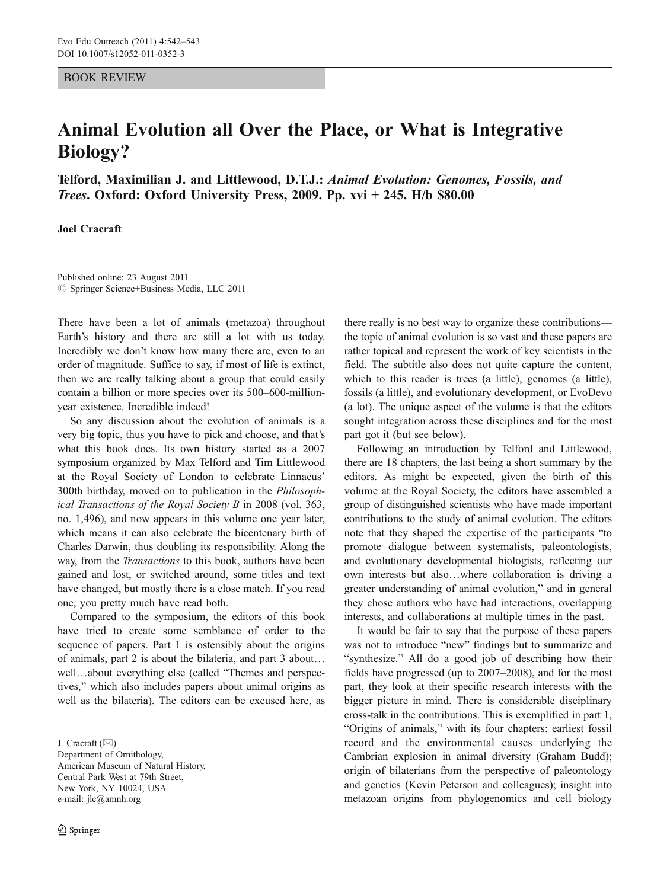## BOOK REVIEW

## Animal Evolution all Over the Place, or What is Integrative Biology?

Telford, Maximilian J. and Littlewood, D.T.J.: Animal Evolution: Genomes, Fossils, and Trees. Oxford: Oxford University Press, 2009. Pp. xvi + 245. H/b \$80.00

## Joel Cracraft

Published online: 23 August 2011  $©$  Springer Science+Business Media, LLC 2011

There have been a lot of animals (metazoa) throughout Earth's history and there are still a lot with us today. Incredibly we don't know how many there are, even to an order of magnitude. Suffice to say, if most of life is extinct, then we are really talking about a group that could easily contain a billion or more species over its 500–600-millionyear existence. Incredible indeed!

So any discussion about the evolution of animals is a very big topic, thus you have to pick and choose, and that's what this book does. Its own history started as a 2007 symposium organized by Max Telford and Tim Littlewood at the Royal Society of London to celebrate Linnaeus' 300th birthday, moved on to publication in the Philosophical Transactions of the Royal Society B in 2008 (vol. 363, no. 1,496), and now appears in this volume one year later, which means it can also celebrate the bicentenary birth of Charles Darwin, thus doubling its responsibility. Along the way, from the *Transactions* to this book, authors have been gained and lost, or switched around, some titles and text have changed, but mostly there is a close match. If you read one, you pretty much have read both.

Compared to the symposium, the editors of this book have tried to create some semblance of order to the sequence of papers. Part 1 is ostensibly about the origins of animals, part 2 is about the bilateria, and part 3 about… well…about everything else (called "Themes and perspectives," which also includes papers about animal origins as well as the bilateria). The editors can be excused here, as

Department of Ornithology, American Museum of Natural History, Central Park West at 79th Street, New York, NY 10024, USA e-mail: jlc@amnh.org

there really is no best way to organize these contributions the topic of animal evolution is so vast and these papers are rather topical and represent the work of key scientists in the field. The subtitle also does not quite capture the content, which to this reader is trees (a little), genomes (a little), fossils (a little), and evolutionary development, or EvoDevo (a lot). The unique aspect of the volume is that the editors sought integration across these disciplines and for the most part got it (but see below).

Following an introduction by Telford and Littlewood, there are 18 chapters, the last being a short summary by the editors. As might be expected, given the birth of this volume at the Royal Society, the editors have assembled a group of distinguished scientists who have made important contributions to the study of animal evolution. The editors note that they shaped the expertise of the participants "to promote dialogue between systematists, paleontologists, and evolutionary developmental biologists, reflecting our own interests but also…where collaboration is driving a greater understanding of animal evolution," and in general they chose authors who have had interactions, overlapping interests, and collaborations at multiple times in the past.

It would be fair to say that the purpose of these papers was not to introduce "new" findings but to summarize and "synthesize." All do a good job of describing how their fields have progressed (up to 2007–2008), and for the most part, they look at their specific research interests with the bigger picture in mind. There is considerable disciplinary cross-talk in the contributions. This is exemplified in part 1, "Origins of animals," with its four chapters: earliest fossil record and the environmental causes underlying the Cambrian explosion in animal diversity (Graham Budd); origin of bilaterians from the perspective of paleontology and genetics (Kevin Peterson and colleagues); insight into metazoan origins from phylogenomics and cell biology

J. Cracraft  $(\boxtimes)$